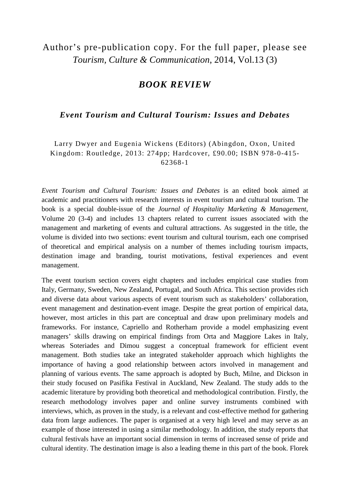## Author's pre-publication copy. For the full paper, please see *Tourism, Culture & Communication*, 2014, Vol.13 (3)

## *BOOK REVIEW*

## *Event Tourism and Cultural Tourism: Issues and Debates*

Larry Dwyer and Eugenia Wickens (Editors) (Abingdon, Oxon, United Kingdom: Routledge, 2013: 274pp; Hardcover, £90.00; ISBN 978-0-415- 62368-1

*Event Tourism and Cultural Tourism: Issues and Debates* is an edited book aimed at academic and practitioners with research interests in event tourism and cultural tourism. The book is a special double-issue of the *Journal of Hospitality Marketing & Management,*  Volume 20 (3-4) and includes 13 chapters related to current issues associated with the management and marketing of events and cultural attractions. As suggested in the title, the volume is divided into two sections: event tourism and cultural tourism, each one comprised of theoretical and empirical analysis on a number of themes including tourism impacts, destination image and branding, tourist motivations, festival experiences and event management.

The event tourism section covers eight chapters and includes empirical case studies from Italy, Germany, Sweden, New Zealand, Portugal, and South Africa. This section provides rich and diverse data about various aspects of event tourism such as stakeholders' collaboration, event management and destination-event image. Despite the great portion of empirical data, however, most articles in this part are conceptual and draw upon preliminary models and frameworks. For instance, Capriello and Rotherham provide a model emphasizing event managers' skills drawing on empirical findings from Orta and Maggiore Lakes in Italy, whereas Soteriades and Dimou suggest a conceptual framework for efficient event management. Both studies take an integrated stakeholder approach which highlights the importance of having a good relationship between actors involved in management and planning of various events. The same approach is adopted by Buch, Milne, and Dickson in their study focused on Pasifika Festival in Auckland, New Zealand. The study adds to the academic literature by providing both theoretical and methodological contribution. Firstly, the research methodology involves paper and online survey instruments combined with interviews, which, as proven in the study, is a relevant and cost-effective method for gathering data from large audiences. The paper is organised at a very high level and may serve as an example of those interested in using a similar methodology. In addition, the study reports that cultural festivals have an important social dimension in terms of increased sense of pride and cultural identity. The destination image is also a leading theme in this part of the book. Florek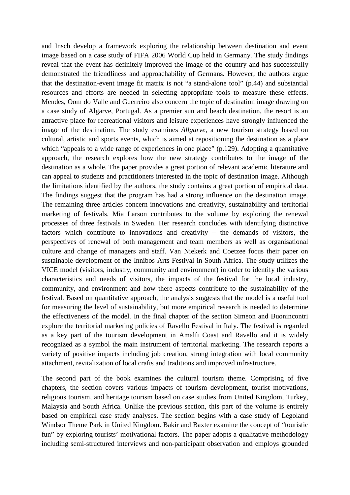and Insch develop a framework exploring the relationship between destination and event image based on a case study of FIFA 2006 World Cup held in Germany. The study findings reveal that the event has definitely improved the image of the country and has successfully demonstrated the friendliness and approachability of Germans. However, the authors argue that the destination-event image fit matrix is not "a stand-alone tool" (p.44) and substantial resources and efforts are needed in selecting appropriate tools to measure these effects. Mendes, Oom do Valle and Guerreiro also concern the topic of destination image drawing on a case study of Algarve, Portugal. As a premier sun and beach destination, the resort is an attractive place for recreational visitors and leisure experiences have strongly influenced the image of the destination. The study examines *Allgarve*, a new tourism strategy based on cultural, artistic and sports events, which is aimed at repositioning the destination as a place which "appeals to a wide range of experiences in one place" (p.129). Adopting a quantitative approach, the research explores how the new strategy contributes to the image of the destination as a whole. The paper provides a great portion of relevant academic literature and can appeal to students and practitioners interested in the topic of destination image. Although the limitations identified by the authors, the study contains a great portion of empirical data. The findings suggest that the program has had a strong influence on the destination image. The remaining three articles concern innovations and creativity, sustainability and territorial marketing of festivals. Mia Larson contributes to the volume by exploring the renewal processes of three festivals in Sweden. Her research concludes with identifying distinctive factors which contribute to innovations and creativity – the demands of visitors, the perspectives of renewal of both management and team members as well as organisational culture and change of managers and staff. Van Niekerk and Coetzee focus their paper on sustainable development of the Innibos Arts Festival in South Africa. The study utilizes the VICE model (visitors, industry, community and environment) in order to identify the various characteristics and needs of visitors, the impacts of the festival for the local industry, community, and environment and how there aspects contribute to the sustainability of the festival. Based on quantitative approach, the analysis suggests that the model is a useful tool for measuring the level of sustainability, but more empirical research is needed to determine the effectiveness of the model. In the final chapter of the section Simeon and Buonincontri explore the territorial marketing policies of Ravello Festival in Italy. The festival is regarded as a key part of the tourism development in Amalfi Coast and Ravello and it is widely recognized as a symbol the main instrument of territorial marketing. The research reports a variety of positive impacts including job creation, strong integration with local community attachment, revitalization of local crafts and traditions and improved infrastructure.

The second part of the book examines the cultural tourism theme. Comprising of five chapters, the section covers various impacts of tourism development, tourist motivations, religious tourism, and heritage tourism based on case studies from United Kingdom, Turkey, Malaysia and South Africa. Unlike the previous section, this part of the volume is entirely based on empirical case study analyses. The section begins with a case study of Legoland Windsor Theme Park in United Kingdom. Bakir and Baxter examine the concept of "touristic fun" by exploring tourists' motivational factors. The paper adopts a qualitative methodology including semi-structured interviews and non-participant observation and employs grounded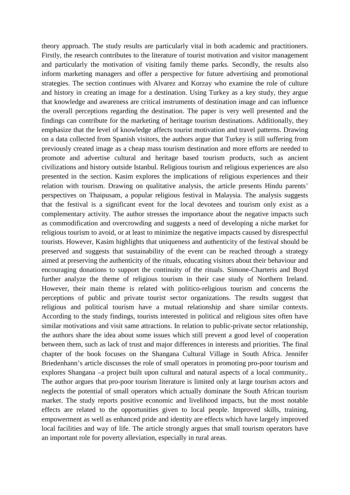theory approach. The study results are particularly vital in both academic and practitioners. Firstly, the research contributes to the literature of tourist motivation and visitor management and particularly the motivation of visiting family theme parks. Secondly, the results also inform marketing managers and offer a perspective for future advertising and promotional strategies. The section continues with Alvarez and Korzay who examine the role of culture and history in creating an image for a destination. Using Turkey as a key study, they argue that knowledge and awareness are critical instruments of destination image and can influence the overall perceptions regarding the destination. The paper is very well presented and the findings can contribute for the marketing of heritage tourism destinations. Additionally, they emphasize that the level of knowledge affects tourist motivation and travel patterns. Drawing on a data collected from Spanish visitors, the authors argue that Turkey is still suffering from previously created image as a cheap mass tourism destination and more efforts are needed to promote and advertise cultural and heritage based tourism products, such as ancient civilizations and history outside Istanbul. Religious tourism and religious experiences are also presented in the section. Kasim explores the implications of religious experiences and their relation with tourism. Drawing on qualitative analysis, the article presents Hindu parents' perspectives on Thaipusam, a popular religious festival in Malaysia. The analysis suggests that the festival is a significant event for the local devotees and tourism only exist as a complementary activity. The author stresses the importance about the negative impacts such as commodification and overcrowding and suggests a need of developing a niche market for religious tourism to avoid, or at least to minimize the negative impacts caused by disrespectful tourists. However, Kasim highlights that uniqueness and authenticity of the festival should be preserved and suggests that sustainability of the event can be reached through a strategy aimed at preserving the authenticity of the rituals, educating visitors about their behaviour and encouraging donations to support the continuity of the rituals. Simone-Charteris and Boyd further analyze the theme of religious tourism in their case study of Northern Ireland. However, their main theme is related with politico-religious tourism and concerns the perceptions of public and private tourist sector organizations. The results suggest that religious and political tourism have a mutual relationship and share similar contexts. According to the study findings, tourists interested in political and religious sites often have similar motivations and visit same attractions. In relation to public-private sector relationship, the authors share the idea about some issues which still prevent a good level of cooperation between them, such as lack of trust and major differences in interests and priorities. The final chapter of the book focuses on the Shangana Cultural Village in South Africa. Jennifer Briedenhann's article discusses the role of small operators in promoting pro-poor tourism and explores Shangana –a project built upon cultural and natural aspects of a local community.. The author argues that pro-poor tourism literature is limited only at large tourism actors and neglects the potential of small operators which actually dominate the South African tourism market. The study reports positive economic and livelihood impacts, but the most notable effects are related to the opportunities given to local people. Improved skills, training, empowerment as well as enhanced pride and identity are effects which have largely improved local facilities and way of life. The article strongly argues that small tourism operators have an important role for poverty alleviation, especially in rural areas.